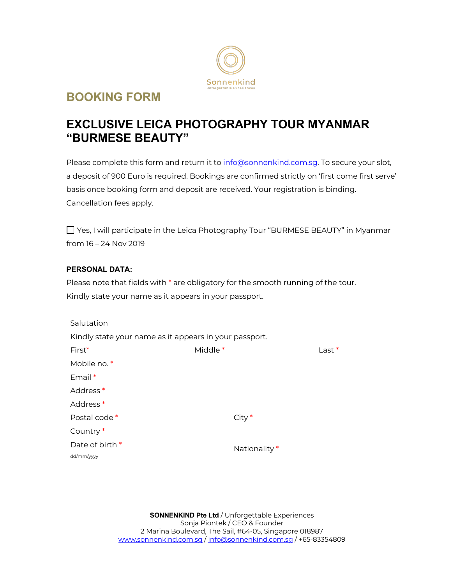

# **BOOKING FORM**

# **EXCLUSIVE LEICA PHOTOGRAPHY TOUR MYANMAR "BURMESE BEAUTY"**

Please complete this form and return it to info@sonnenkind.com.sg. To secure your slot, a deposit of 900 Euro is required. Bookings are confirmed strictly on 'first come first serve' basis once booking form and deposit are received. Your registration is binding. Cancellation fees apply.

Yes, I will participate in the Leica Photography Tour "BURMESE BEAUTY" in Myanmar from 16 – 24 Nov 2019

## **PERSONAL DATA:**

Please note that fields with \* are obligatory for the smooth running of the tour. Kindly state your name as it appears in your passport.

| Salutation                                             |                     |               |          |
|--------------------------------------------------------|---------------------|---------------|----------|
| Kindly state your name as it appears in your passport. |                     |               |          |
| First*                                                 | Middle <sup>*</sup> |               | $Last *$ |
| Mobile no. *                                           |                     |               |          |
| Email *                                                |                     |               |          |
| Address <sup>*</sup>                                   |                     |               |          |
| Address <sup>*</sup>                                   |                     |               |          |
| Postal code *                                          |                     | $City*$       |          |
| Country <sup>*</sup>                                   |                     |               |          |
| Date of birth *                                        |                     | Nationality * |          |
| dd/mm/yyyy                                             |                     |               |          |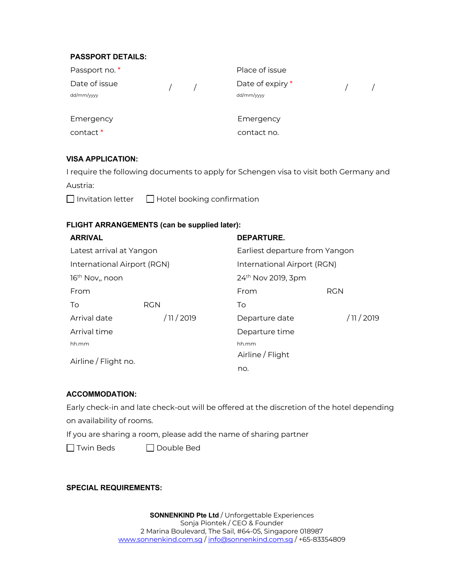### **PASSPORT DETAILS:**

| Passport no. *              |  | Place of issue                 |  |
|-----------------------------|--|--------------------------------|--|
| Date of issue<br>dd/mm/yyyy |  | Date of expiry *<br>dd/mm/yyyy |  |
| Emergency                   |  | Emergency                      |  |
| contact <sup>*</sup>        |  | contact no.                    |  |

## **VISA APPLICATION:**

I require the following documents to apply for Schengen visa to visit both Germany and

Austria:

 $\Box$  Invitation letter  $\Box$  Hotel booking confirmation

## **FLIGHT ARRANGEMENTS (can be supplied later):**

| <b>ARRIVAL</b>                           |             | <b>DEPARTURE.</b>              |             |  |
|------------------------------------------|-------------|--------------------------------|-------------|--|
| Latest arrival at Yangon                 |             | Earliest departure from Yangon |             |  |
| International Airport (RGN)              |             | International Airport (RGN)    |             |  |
| 16 <sup>th</sup> Nov <sub>1</sub> , noon |             | 24 <sup>th</sup> Nov 2019, 3pm |             |  |
| From                                     |             | From                           | <b>RGN</b>  |  |
| To                                       | <b>RGN</b>  | To                             |             |  |
| Arrival date                             | / 11 / 2019 | Departure date                 | / 11 / 2019 |  |
| Arrival time                             |             | Departure time                 |             |  |
| hh.mm                                    |             | hh.mm                          |             |  |
| Airline / Flight no.                     |             | Airline / Flight               |             |  |
|                                          |             | no.                            |             |  |

#### **ACCOMMODATION:**

Early check-in and late check-out will be offered at the discretion of the hotel depending on availability of rooms.

If you are sharing a room, please add the name of sharing partner

Twin Beds Double Bed

**SPECIAL REQUIREMENTS:**

**SONNENKIND Pte Ltd** / Unforgettable Experiences Sonja Piontek / CEO & Founder 2 Marina Boulevard, The Sail, #64-05, Singapore 018987 www.sonnenkind.com.sg / info@sonnenkind.com.sg / +65-83354809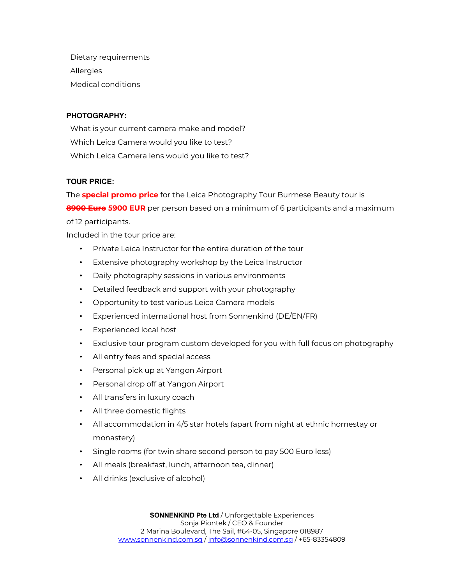Dietary requirements Allergies Medical conditions

## **PHOTOGRAPHY:**

What is your current camera make and model? Which Leica Camera would you like to test? Which Leica Camera lens would you like to test?

#### **TOUR PRICE:**

The **special promo price** for the Leica Photography Tour Burmese Beauty tour is **8900 Euro 5900 EUR** per person based on a minimum of 6 participants and a maximum of 12 participants.

Included in the tour price are:

- Private Leica Instructor for the entire duration of the tour
- Extensive photography workshop by the Leica Instructor
- Daily photography sessions in various environments
- Detailed feedback and support with your photography
- Opportunity to test various Leica Camera models
- Experienced international host from Sonnenkind (DE/EN/FR)
- Experienced local host
- Exclusive tour program custom developed for you with full focus on photography
- All entry fees and special access
- Personal pick up at Yangon Airport
- Personal drop off at Yangon Airport
- All transfers in luxury coach
- All three domestic flights
- All accommodation in 4/5 star hotels (apart from night at ethnic homestay or monastery)
- Single rooms (for twin share second person to pay 500 Euro less)
- All meals (breakfast, lunch, afternoon tea, dinner)
- All drinks (exclusive of alcohol)